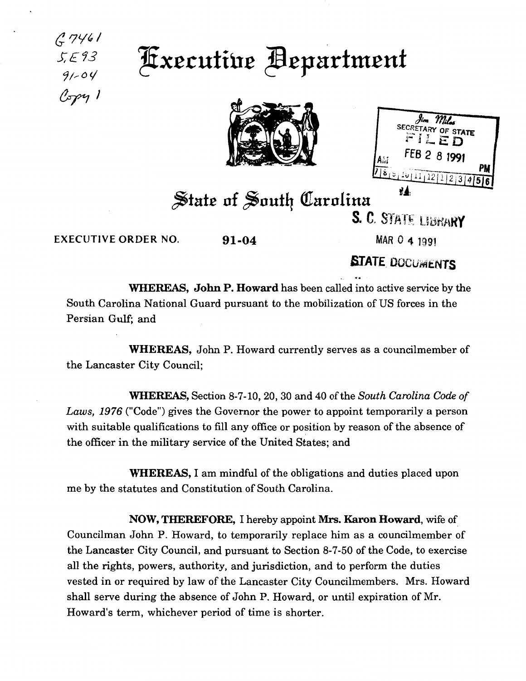

**Executive Bepartment** 

| Milas<br>SECRETARY OF STATE<br>FILED |  |
|--------------------------------------|--|
| FEB 2 8 1991                         |  |
|                                      |  |
| 7855101111212239956                  |  |
|                                      |  |

State of South Carolina S. C. STATE LIBRARY

EXECUTIVE ORDER NO.  $91-04$  MAR 0 4 1991

*(}. ?i.ft,* I

*S:£73*   $91 - 04$ 

 $C$ opy 1

**STATE DOCUMENTS** 

WHEREAS, John P. Howard has been called into active service by the South Carolina National Guard pursuant to the mobilization of US forces in the Persian Gulf; and

WHEREAS, John P. Howard currently serves as a councilmember of the Lancaster City Council;

WHEREAS, Section 8-7-10,20, 30 and 40 of the *South Carolina Code of Laws, 1976* ("Code") gives the Governor the power to appoint temporarily a person with suitable qualifications to fill any office or position by reason of the absence of the officer in the military service of the United States; and

WHEREAS, I am mindful of the obligations and duties placed upon me by the statutes and Constitution of South Carolina.

NOW, THEREFORE, I hereby appoint Mrs. Karon Howard, wife of Councilman John P. Howard, to temporarily replace him as a councilmember of the Lancaster City Council, and pursuant to Section 8-7-50 of the Code, to exercise all the rights, powers, authority, and jurisdiction, and to perform the duties vested in or required by law of the Lancaster City Councilmembers. Mrs. Howard shall serve during the absence of John P. Howard, or until expiration of Mr. Howard's term, whichever period of time is shorter.